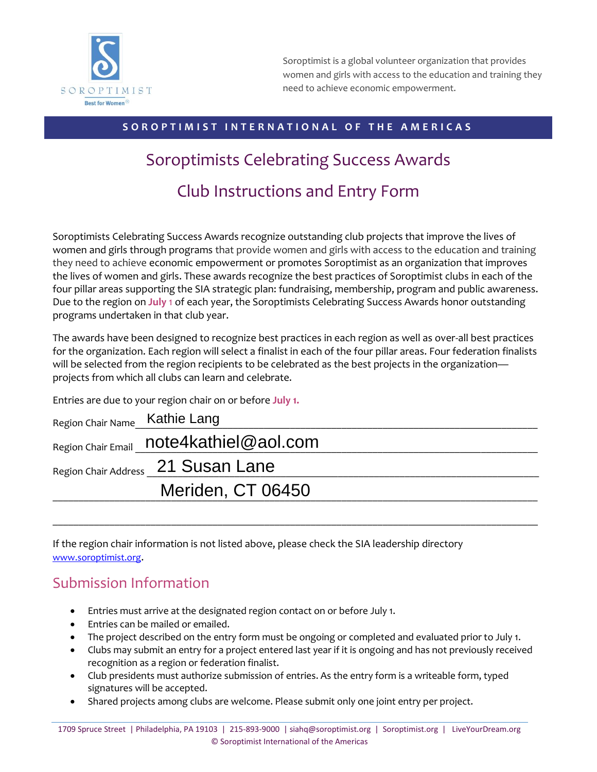

Soroptimist is a global volunteer organization that provides women and girls with access to the education and training they need to achieve economic empowerment.

## SOROPTIMIST INTERNATIONAL OF THE AMERICAS

# Soroptimists Celebrating Success Awards Club Instructions and Entry Form

Soroptimists Celebrating Success Awards recognize outstanding club projects that improve the lives of women and girls through programs that provide women and girls with access to the education and training they need to achieve economic empowerment or promotes Soroptimist as an organization that improves the lives of women and girls. These awards recognize the best practices of Soroptimist clubs in each of the four pillar areas supporting the SIA strategic plan: fundraising, membership, program and public awareness. Due to the region on **July** 1 of each year, the Soroptimists Celebrating Success Awards honor outstanding programs undertaken in that club year.

The awards have been designed to recognize best practices in each region as well as over-all best practices for the organization. Each region will select a finalist in each of the four pillar areas. Four federation finalists will be selected from the region recipients to be celebrated as the best projects in the organization projects from which all clubs can learn and celebrate.

Entries are due to your region chair on or before **July 1.**

| Region Chair Name Kathie Lang |                                         |  |
|-------------------------------|-----------------------------------------|--|
|                               | Region Chair Email note4kathiel@aol.com |  |
|                               | Region Chair Address 21 Susan Lane      |  |
|                               | Meriden, CT 06450                       |  |
|                               |                                         |  |

 $\_$  ,  $\_$  ,  $\_$  ,  $\_$  ,  $\_$  ,  $\_$  ,  $\_$  ,  $\_$  ,  $\_$  ,  $\_$  ,  $\_$  ,  $\_$  ,  $\_$  ,  $\_$  ,  $\_$  ,  $\_$  ,  $\_$  ,  $\_$  ,  $\_$  ,  $\_$  ,  $\_$  ,  $\_$  ,  $\_$  ,  $\_$  ,  $\_$  ,  $\_$  ,  $\_$  ,  $\_$  ,  $\_$  ,  $\_$  ,  $\_$  ,  $\_$  ,  $\_$  ,  $\_$  ,  $\_$  ,  $\_$  ,  $\_$  ,

If the region chair information is not listed above, please check the SIA leadership directory [www.soroptimist.org](http://www.soroptimist.org/).

# Submission Information

- Entries must arrive at the designated region contact on or before July 1.
- Entries can be mailed or emailed.
- The project described on the entry form must be ongoing or completed and evaluated prior to July 1.
- Clubs may submit an entry for a project entered last year if it is ongoing and has not previously received recognition as a region or federation finalist.
- Club presidents must authorize submission of entries. As the entry form is a writeable form, typed signatures will be accepted.
- Shared projects among clubs are welcome. Please submit only one joint entry per project.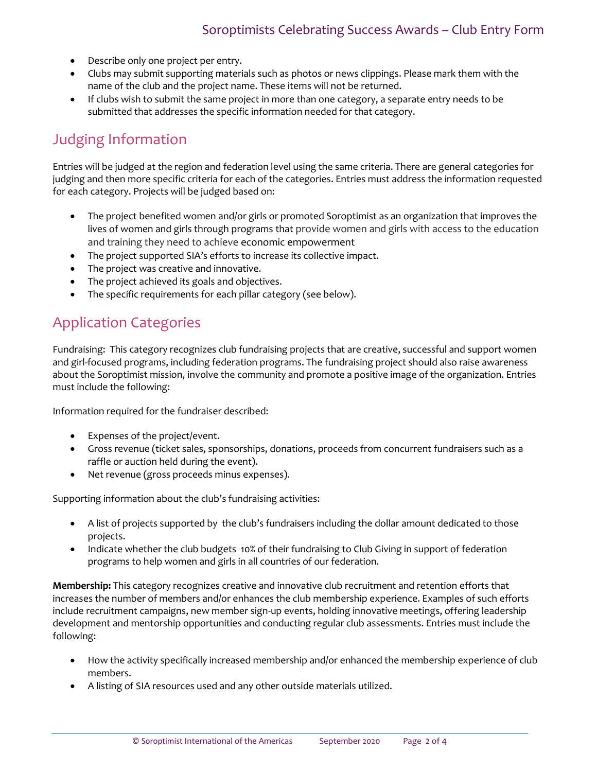- Describe only one project per entry.
- Clubs may submit supporting materials such as photos or news clippings. Please mark them with the name of the club and the project name. These items will not be returned.
- If clubs wish to submit the same project in more than one category, a separate entry needs to be submitted that addresses the specific information needed for that category.

# Judging Information

Entries will be judged at the region and federation level using the same criteria. There are general categories for judging and then more specific criteria for each of the categories. Entries must address the information requested for each category. Projects will be judged based on:

- The project benefited women and/or girls or promoted Soroptimist as an organization that improves the lives of women and girls through programs that provide women and girls with access to the education and training they need to achieve economic empowerment
- The project supported SIA's efforts to increase its collective impact.
- The project was creative and innovative.
- The project achieved its goals and objectives.
- The specific requirements for each pillar category (see below).

# Application Categories

Fundraising: This category recognizes club fundraising projects that are creative, successful and support women and girl-focused programs, including federation programs. The fundraising project should also raise awareness about the Soroptimist mission, involve the community and promote a positive image of the organization. Entries must include the following:

Information required for the fundraiser described:

- Expenses of the project/event.
- Gross revenue (ticket sales, sponsorships, donations, proceeds from concurrent fundraisers such as a raffle or auction held during the event).
- Net revenue (gross proceeds minus expenses).

Supporting information about the club's fundraising activities:

- A list of projects supported by the club's fundraisers including the dollar amount dedicated to those projects.
- Indicate whether the club budgets 10% of their fundraising to Club Giving in support of federation programs to help women and girls in all countries of our federation.

**Membership:** This category recognizes creative and innovative club recruitment and retention efforts that increases the number of members and/or enhances the club membership experience. Examples of such efforts include recruitment campaigns, new member sign-up events, holding innovative meetings, offering leadership development and mentorship opportunities and conducting regular club assessments. Entries must include the following:

- How the activity specifically increased membership and/or enhanced the membership experience of club members.
- A listing of SIA resources used and any other outside materials utilized.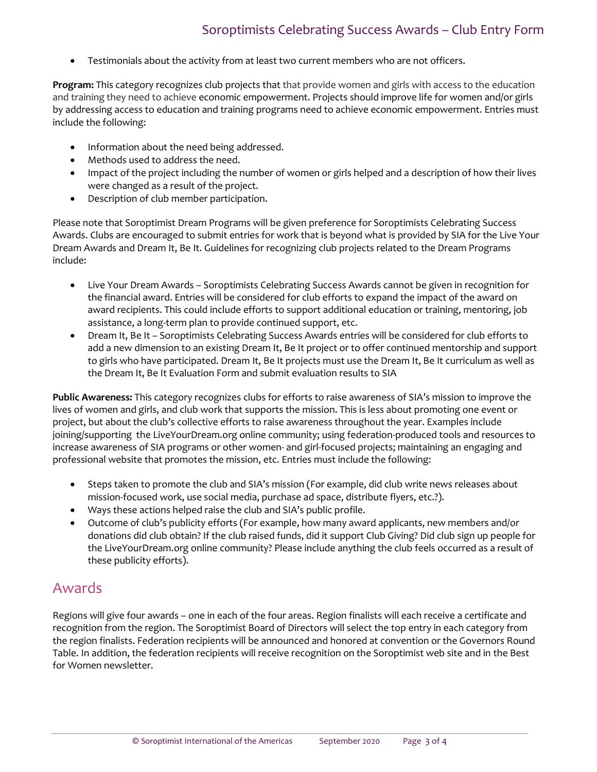# Soroptimists Celebrating Success Awards – Club Entry Form

• Testimonials about the activity from at least two current members who are not officers.

**Program:** This category recognizes club projects that that provide women and girls with access to the education and training they need to achieve economic empowerment. Projects should improve life for women and/or girls by addressing access to education and training programs need to achieve economic empowerment. Entries must include the following:

- Information about the need being addressed.
- Methods used to address the need.
- Impact of the project including the number of women or girls helped and a description of how their lives were changed as a result of the project.
- Description of club member participation.

Please note that Soroptimist Dream Programs will be given preference for Soroptimists Celebrating Success Awards. Clubs are encouraged to submit entries for work that is beyond what is provided by SIA for the Live Your Dream Awards and Dream It, Be It. Guidelines for recognizing club projects related to the Dream Programs include:

- Live Your Dream Awards Soroptimists Celebrating Success Awards cannot be given in recognition for the financial award. Entries will be considered for club efforts to expand the impact of the award on award recipients. This could include efforts to support additional education or training, mentoring, job assistance, a long-term plan to provide continued support, etc.
- Dream It, Be It Soroptimists Celebrating Success Awards entries will be considered for club efforts to add a new dimension to an existing Dream It, Be It project or to offer continued mentorship and support to girls who have participated. Dream It, Be It projects must use the Dream It, Be It curriculum as well as the Dream It, Be It Evaluation Form and submit evaluation results to SIA

**Public Awareness:** This category recognizes clubs for efforts to raise awareness of SIA's mission to improve the lives of women and girls, and club work that supports the mission. This is less about promoting one event or project, but about the club's collective efforts to raise awareness throughout the year. Examples include joining/supporting the LiveYourDream.org online community; using federation-produced tools and resources to increase awareness of SIA programs or other women- and girl-focused projects; maintaining an engaging and professional website that promotes the mission, etc. Entries must include the following:

- Steps taken to promote the club and SIA's mission (For example, did club write news releases about mission-focused work, use social media, purchase ad space, distribute flyers, etc.?).
- Ways these actions helped raise the club and SIA's public profile.
- Outcome of club's publicity efforts (For example, how many award applicants, new members and/or donations did club obtain? If the club raised funds, did it support Club Giving? Did club sign up people for the LiveYourDream.org online community? Please include anything the club feels occurred as a result of these publicity efforts).

## Awards

Regions will give four awards – one in each of the four areas. Region finalists will each receive a certificate and recognition from the region. The Soroptimist Board of Directors will select the top entry in each category from the region finalists. Federation recipients will be announced and honored at convention or the Governors Round Table. In addition, the federation recipients will receive recognition on the Soroptimist web site and in the Best for Women newsletter.